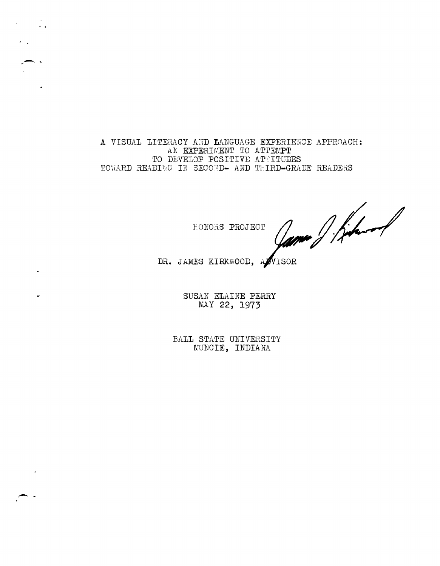A VISUAL LITERACY AND LANGUAGE EXPERIENCE APPROACH: AN EXPERIMENT TO ATTEMPT TO DEVELOP POSITIVE ATTITUDES TOWARD READING IN SECOND- AND THIRD-GRADE READERS

 $\mathcal{L} = \mathcal{L} \mathcal{L}$ 

HONORS PROJECT

James J. Kehart

DR. JAMES KIRKWOOD, AZVISOR

SUSAN ELAINE PERRY MAY 22, 1973

BALL STATE UNIVERSITY MUNCIE, INDIANA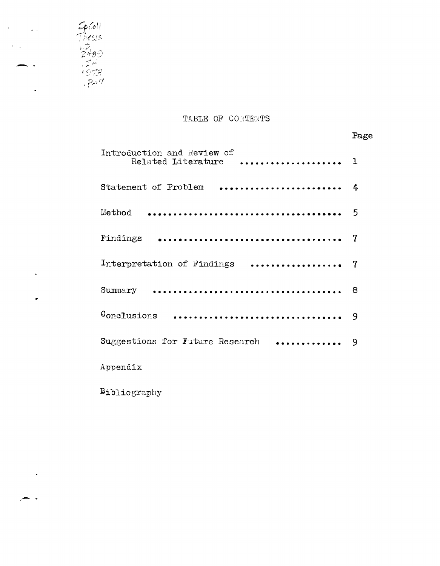

- .

 $\ddot{\phantom{a}}$ 

 $\ddot{\phantom{1}}$ 

 $\bullet$ 

 $\label{eq:2} \frac{1}{2} \int_{\mathbb{R}^3} \frac{1}{\sqrt{2}} \, \frac{1}{\sqrt{2}} \, \frac{1}{\sqrt{2}} \, \frac{1}{\sqrt{2}} \, \frac{1}{\sqrt{2}} \, \frac{1}{\sqrt{2}} \, \frac{1}{\sqrt{2}} \, \frac{1}{\sqrt{2}} \, \frac{1}{\sqrt{2}} \, \frac{1}{\sqrt{2}} \, \frac{1}{\sqrt{2}} \, \frac{1}{\sqrt{2}} \, \frac{1}{\sqrt{2}} \, \frac{1}{\sqrt{2}} \, \frac{1}{\sqrt{2}} \, \frac{1}{\sqrt{2}} \, \frac$ 

 $-$  .

 $\epsilon$ 

# TABLE OF CONTENTS

Page

| Introduction and Review of<br>Related Literature |   |
|--------------------------------------------------|---|
| Statement of Problem                             | 4 |
| Method                                           | 5 |
| Findings                                         | 7 |
| Interpretation of Findings                       | 7 |
| Summary                                          | 8 |
| Gonclusions                                      | 9 |
| .<br>Suggestions for Future Research             | 9 |
| Appendix                                         |   |

Bibliography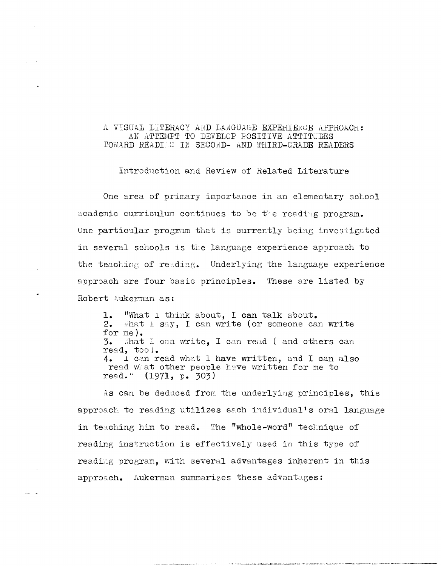# A VISUAL LITERACY AND LANGUAGE EXPERIENCE APPROACH: AN ATTEMPT TO DEVELOP POSITIVE ATTITUDES TOWARD READIEG IN SECOMD- AND THIRD-GRADE READERS

Introduction and Review of Related Literature

One area of primary importance in an elementary school academic curriculum continues to be the reading program. One particular program that is currently being investigated in several schools is the language experience approach to the teaching of reading. Underlying the language experience approach are four basic principles. These are listed by Robert Aukerman as:

1. **"What 1 think about, I can talk about.**<br>2. What 1 say, I can write (or someone can  $\exists$ hat 1 s $\exists y$ , I can write (or someone can write for me).<br>3. What  $a$ hat I can write, I can read ( and others can read, too). 4. I can read what 1 have written, and I can also read what other people have written for me to read." (1971, p. 303)

As can be deduced from the underlying principles, this approach to reading utilizes each individual's oral language in teaching him to read. The "whole-word" technique of reading instruction is effectively used in this type of reading program, with several advantages inherent in this approach. Aukerman summarizes these advantages: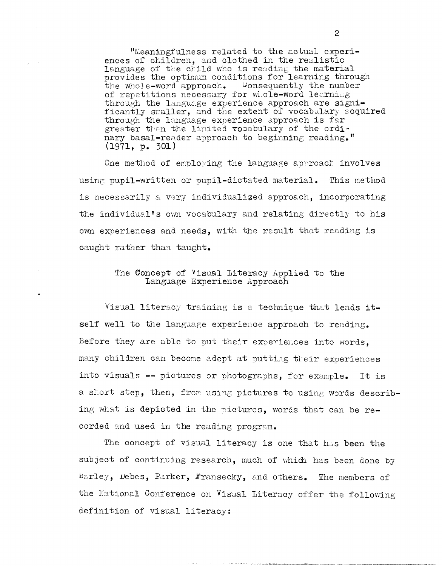"Meaningfulness related to the actual experiences of children, and clothed in the realistic language of the child who is reading the material provides the optimum conditions for learning through the whole-word approach. Consequently the number of repetitions necessary for whole-word learning through the language experience approach are significantly smaller, and the extent of vocabulary acquired through the language experience approach is far greater than the limited vocabulary of the ordinary basal-reader approach to beginning reading."  $(1971, p. 301)$ 

One method of employing the language approach involves using pupil-written or pupil-dictated material. This method is necessarily a very individualized approach, incorporating the individual's own vocabulary and relating directly to his own experiences and needs, with the result that reading is caught rather than taught.

# The Concept of Visual Literacy Applied to the Language Experience Approach

Visual literacy training is a technique that lends itself well to the language experience approach to reading. Before they are able to put their experiences into words. many children can become adept at putting their experiences into visuals -- pictures or photographs, for example. It is a short step, then, from using pictures to using words describing what is depicted in the pictures, words that can be recorded and used in the reading program.

The concept of visual literacy is one that has been the subject of continuing research, much of which has been done by Barley, Debes, Parker, Fransecky, and others. The members of the Mational Conference on Visual Literacy offer the following definition of visual literacy: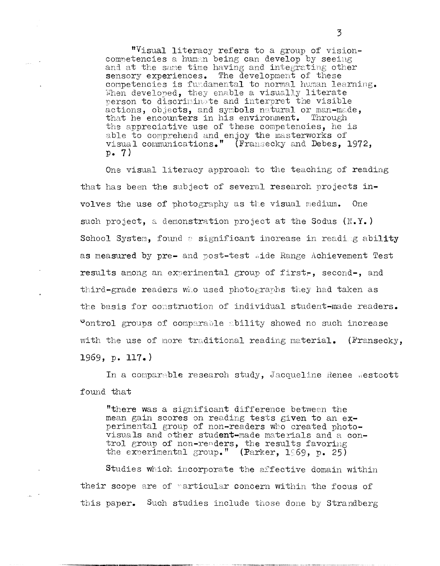"Visual literacy refers to a group of visioncompetencies a human being can develop by seeing and at the same time having and integrating other sensory experiences. The development of these competencies is fundamental to normal human learning. When developed, they enable a visually literate person to discriminate and interpret the visible actions, objects, and symbols natural or man-made, that he encounters in his environment. Through the appreciative use of these competencies, he is able to comprehend and enjoy the masterworks of visual communications." (Fransecky and Debes, 1972,  $p_{\bullet}$  7)

One visual literacy approach to the teaching of reading that has been the subject of several research projects involves the use of photography as the visual medium. One such project, a demonstration project at the Sodus (N.Y.) School System, found a significant increase in reading ability as measured by pre- and post-test aide Range Achievement Test results among an experimental group of first-, second-, and third-grade readers who used photographs they had taken as the basis for construction of individual student-made readers. control groups of comparable ability showed no such increase with the use of more traditional reading material. (Fransecky, 1969, p. 117.)

In a comparable research study, Jacqueline Renee Westcott found that

"there was a significant difference between the mean gain scores on reading tests given to an experimental group of non-readers who created photovisuals and other student-made materials and a control group of non-readers, the results favoring<br>the experimental group." (Parker, 1969, p. 25)

Studies which incorporate the affective domain within their scope are of particular concern within the focus of this paper. Such studies include those done by Strandberg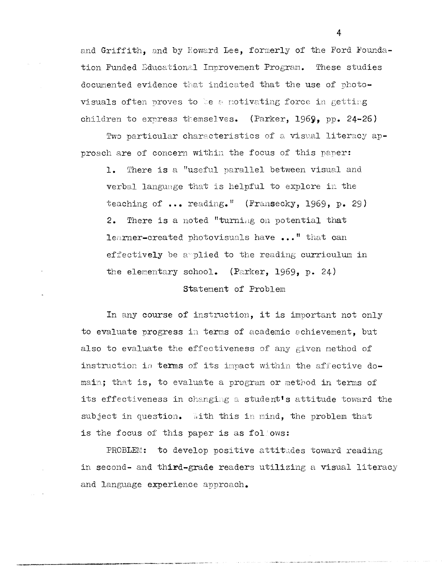and Griffith, and by Howard Lee, formerly of the Ford Foundation Funded Educational Improvement Program. These studies documented evidence that indicated that the use of photovisuals often proves to be a motivating force in getting children to express themselves. (Parker, 1969, pp. 24-26)

Two particular characteristics of a visual literacy approach are of concern within the focus of this paper:

 $1.$ There is a "useful parallel between visual and verbal language that is helpful to explore in the teaching of ... reading." (Fransecky, 1969, p. 29) 2. There is a noted "turning on potential that learner-created photovisuals have ..." that can effectively be applied to the reading curriculum in the elementary school. (Parker, 1969, p. 24)

Statement of Problem

In any course of instruction, it is important not only to evaluate progress in terms of academic achievement, but also to evaluate the effectiveness of any given method of instruction in terms of its inpact within the affective domain; that is, to evaluate a program or method in terms of its effectiveness in changing a student's attitude toward the subject in question. With this in mind, the problem that is the focus of this paper is as follows:

PROBLEM: to develop positive attitudes toward reading in second- and third-grade readers utilizing a visual literacy and language experience approach.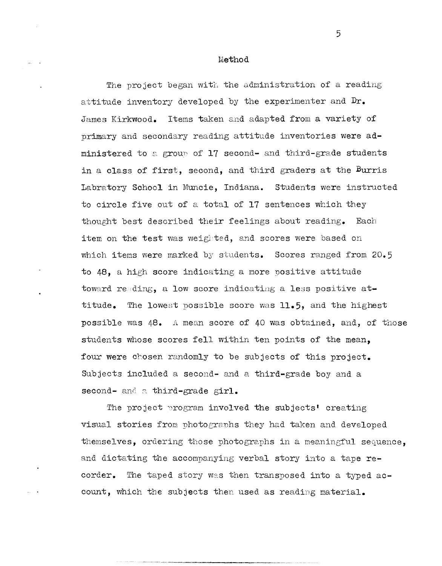Method

The project began with the administration of a reading attitude inventory developed by the experimenter and **Dr.**  James Kirkwood. Items taken and adapted from a variety of primary and secondary reading attitude inventories were administered to a group of  $17$  second- and third-grade students in a class of first, second, and third graders at the Burris Labratory School in Muncie, Indiana. Students were instructed to circle five out of a total of 17 sentences which they thought best described their feelings about reading. Each item on the test was weighted, and scores were based on which items were marked by students. Scores ranged from  $20.5$ to 48, a high score indicating a more positive attitude toward reading, a low score indicating a less positive attitude. The lowest possible score was 11.5, and the highest possible was 48. A mean score of 40 was obtained, and, of those students whose scores fell within ten points of the mean, four were chosen randomly to be subjects of this project. Subjects included a second- and a third-grade boy and a second- and a third-grade girl.

The project  $\gamma$ rogram involved the subjects' creating visual stories from photographs they had taken and developed themselves, ordering those photographs in a meaningful sequence, and dictating the accompanying verbal story into a tape recorder. The taped story was then transposed into a typed account, which the subjects then used as reading material.

----------- --- ----------------,----,--,---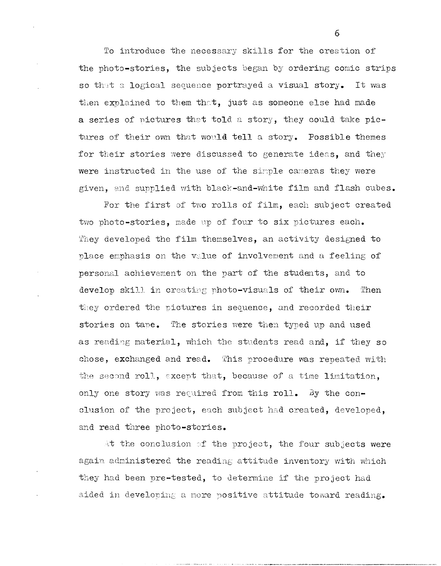To introduce the necessary skills for the creation of the photo-stories, the subjects began by ordering comic strips so that a logical sequence portrayed a visual story. It was then explained to them that, just as someone else had made a series of pictures that told a story, they could take pictures of their own that would tell a story. Possible themes for their stories were discussed to generate ideas, and they were instructed in the use of the simple cameras they were given, and supplied with black-and-white film and flash cubes.

For the first of two rolls of film, each subject created two photo-stories, made up of four to six pictures each. They developed the film themselves, an activity designed to place emphasis on the value of involvement and a feeling of personal achievement on the part of the students, and to develop skill in creating photo-visuals of their own. Then they ordered the pictures in sequence, and recorded their stories on tape. The stories were then typed up and used as reading material, which the students read and, if they so chose, exchanged and read. This procedure was repeated with the second roll, except that, because of a time limitation, only one story was required from this roll. By the conclusion of the project, each subject had created, developed, and read three photo-stories.

At the conclusion of the project, the four subjects were again administered the reading attitude inventory with which they had been pre-tested, to determine if the project had aided in develoring a more positive attitude toward reading.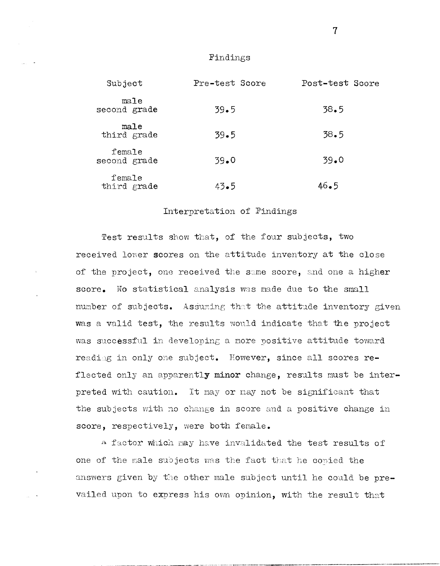# Findings

| Subject                | Pre-test Score | Post-test Score |
|------------------------|----------------|-----------------|
| ma1e<br>second grade   | $39 - 5$       | 38.5            |
| male<br>third grade    | $39 - 5$       | 38.5            |
| female<br>second grade | 39.0           | 39.0            |
| female<br>third grade  | 43.5           | 46.5            |

## Interpretation of Findings

Test results show that, of the four subjects, two received lower scores on the attitude inventory at the close of the project, one received the same score, and one a higher score. No statistical analysis was made due to the small number of subjects. Assuming that the attitude inventory given was a valid test, the results would indicate that the project was successful in developing a more positive attitude toward reading in only one subject. However, since all scores reflected only an apparently minor change, results must be interpreted with caution. It may or may not be significant that the subjects with no change in score and a positive change in score, respectively, were both female.

A factor which may have invalidated the test results of one of the male subjects was the fact that he copied the answers given by the other male subject until he could be prevailed upon to express his own opinion, with the result that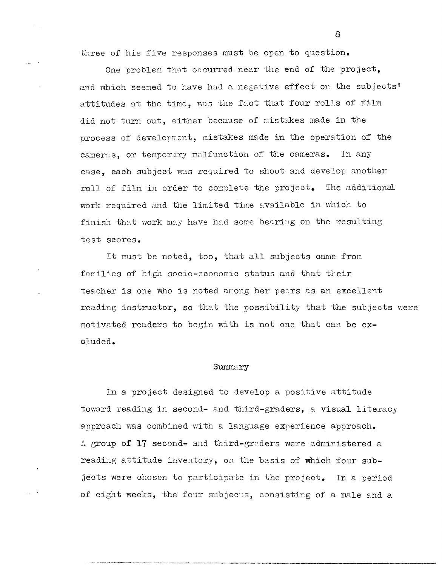three of his five responses must be open to question.

One problem that occurred near the end of the project, and which seemed to have had a negative effect on the subjects' attitudes at the time, was the fact that four rolls of film did not turn out, either because of mistakes made in the process of development, mistakes made in the operation of the cameras, or temporary malfunction of the cameras. In any case, each subject was required to shoot and develop another roll of film in order to complete the project. The additional work required and the limited time available in which to finish that work may have had some bearing on the resulting test scores.

It must be noted, too, that all subjects came from families of high socio-economic status and that their teacher is one who is noted anong her peers as an excellent reading instructor, so that the possibility that the subjects were motivated readers to begin with is not one that can be **ex**cluded.

#### Summary

In a project designed to develop a positive attitude toward reading in second- and third-graders, a visual literacy approach was combined with a language experience approach. A group of 17 second- and third-graders were administered a reading attitude inventory, on the basis of which four subjects were chosen to participate in the project. In a period of eight weeks, the four subjects, consisting of a male and a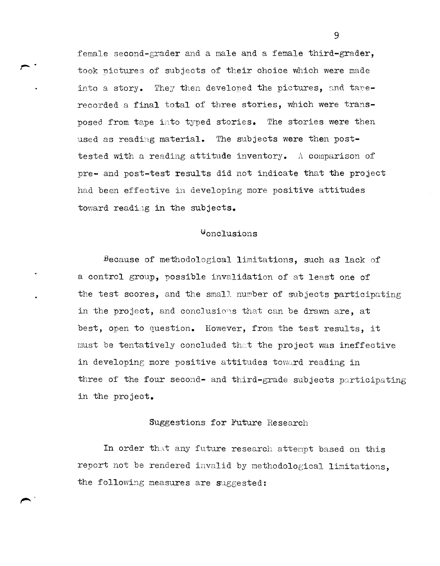female second-grader and a male and a female third-grader, took nictures of subjects of their choice which were made into a story. They then developed the pictures, and taperecorded a final total of three stories, which were transposed from tape into typed stories. The stories were then used as reading material. The subjects were then posttested with a reading attitude inventory. A comparison of pre- and post-test results did not indicate that the project had been effective in developing more positive attitudes toward reading in the subjects.

 $\overline{\phantom{a}}$ .

# $\theta$ onclusions

Because of methodological limitations, such as lack of a control group, possible invalidation of at least one of the test scores, and the small number of subjects participating in the project, and conclusions that can be drawn are, at best, open to question. However, from the test results, it  $must$  be tentatively concluded that the project was ineffective in developing more positive attitudes toward reading in three of the four second- and third-grade subjects participating in the project.

# Suggestions for Future Research

In order that any future research attempt based on this report not be rendered invalid by nethodological limitations, the following measures are suggested: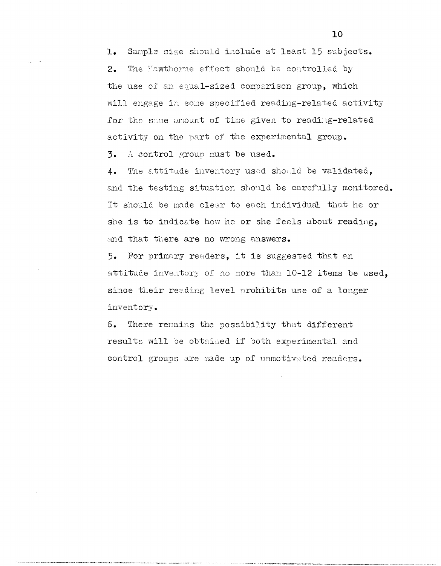Sample size should include at least 15 subjects.  $\mathbf{1}_{\bullet}$ The Hawthorne effect should be controlled by  $2.$ the use of an equal-sized comparison group, which will engage in some specified reading-related activity for the same amount of time given to reading-related activity on the part of the experimental group.

3. A control group must be used.

The attitude inventory used should be validated,  $4.$ and the testing situation should be carefully monitored. It should be made clear to each individual that he or she is to indicate how he or she feels about reading, and that there are no wrong answers.

For primary readers, it is suggested that an  $5.$ attitude inventory of no more than 10-12 items be used, since their reading level prohibits use of a longer inventory.

6. There remains the possibility that different results will be obtained if both experimental and control groups are made up of unmotivated readers.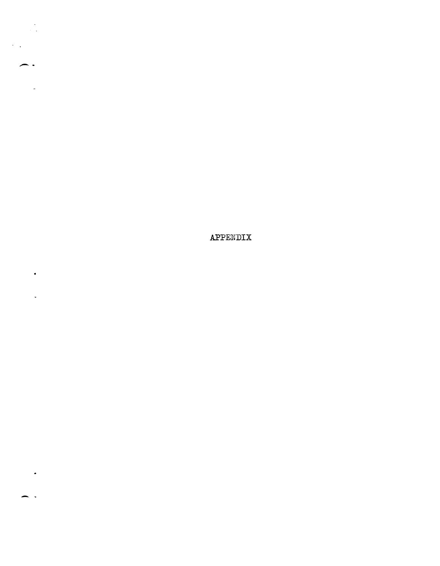APPENDIX

 $\frac{1}{2}$ 

. .

 $\sim$ 

 $\bullet$  .

 $\frac{1}{2}$  .

 $\bullet$ 

 $\sim$   $\sim$ 

 $\bar{\mathcal{A}}$  $\overline{a}$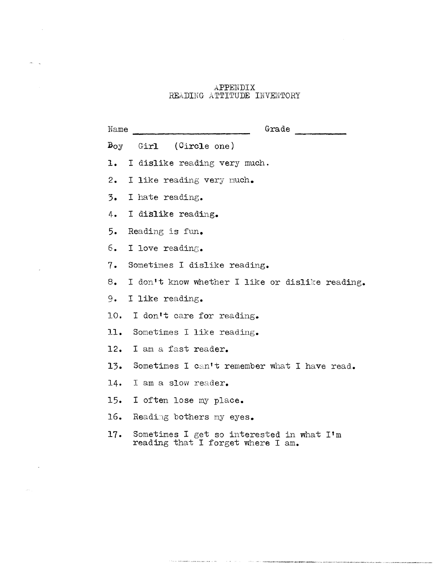### APPENDIX READING ATTITUDE INVENTORY

 $\sim$   $\sim$ 

 $\delta \theta_{\rm{max}} = \frac{1}{2} \theta_{\rm{max}}$ 

 $\sim 300$ 

 $\sim 10^{-10}$ 

 $\log \epsilon_{\rm{max}}$ 

| Name           | Grade                                                                          |
|----------------|--------------------------------------------------------------------------------|
| $B_{O,V}$      | (Circle one)<br>Girl                                                           |
| ı.             | I dislike reading very much.                                                   |
| 2.             | I like reading very much.                                                      |
| $\mathbf{3}$ . | I hate reading.                                                                |
| 4.             | I dislike reading.                                                             |
| 5.             | Reading is fun.                                                                |
| б.             | I love reading.                                                                |
| 7.             | Sometimes I dislike reading.                                                   |
| 8.             | I don't know whether I like or dislike reading.                                |
| 9.             | I like reading.                                                                |
| 10.            | I don't care for reading.                                                      |
| 11.            | Sometimes I like reading.                                                      |
| 12.            | I am a fast reader.                                                            |
| 13.            | Sometimes I can't remember what I have read.                                   |
| 14.            | I am a slow reader.                                                            |
| 15.            | I often lose my place.                                                         |
| 16.            | Reading bothers my eyes.                                                       |
| 17.            | Sometimes I get so interested in what I'm<br>reading that I forget where I am. |